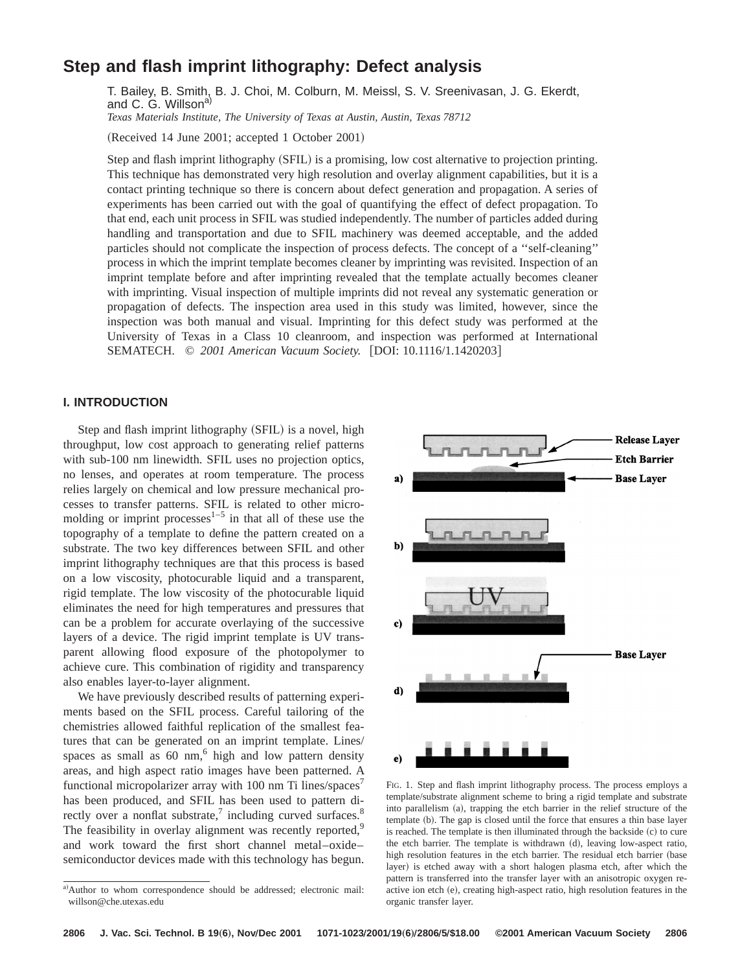# **Step and flash imprint lithography: Defect analysis**

T. Bailey, B. Smith, B. J. Choi, M. Colburn, M. Meissl, S. V. Sreenivasan, J. G. Ekerdt, and C. G. Willson<sup>a)</sup>

*Texas Materials Institute, The University of Texas at Austin, Austin, Texas 78712*

 $(Received 14 June 2001; accepted 1 October 2001)$ 

Step and flash imprint lithography (SFIL) is a promising, low cost alternative to projection printing. This technique has demonstrated very high resolution and overlay alignment capabilities, but it is a contact printing technique so there is concern about defect generation and propagation. A series of experiments has been carried out with the goal of quantifying the effect of defect propagation. To that end, each unit process in SFIL was studied independently. The number of particles added during handling and transportation and due to SFIL machinery was deemed acceptable, and the added particles should not complicate the inspection of process defects. The concept of a ''self-cleaning'' process in which the imprint template becomes cleaner by imprinting was revisited. Inspection of an imprint template before and after imprinting revealed that the template actually becomes cleaner with imprinting. Visual inspection of multiple imprints did not reveal any systematic generation or propagation of defects. The inspection area used in this study was limited, however, since the inspection was both manual and visual. Imprinting for this defect study was performed at the University of Texas in a Class 10 cleanroom, and inspection was performed at International SEMATECH. © 2001 American Vacuum Society. [DOI: 10.1116/1.1420203]

### **I. INTRODUCTION**

Step and flash imprint lithography (SFIL) is a novel, high throughput, low cost approach to generating relief patterns with sub-100 nm linewidth. SFIL uses no projection optics, no lenses, and operates at room temperature. The process relies largely on chemical and low pressure mechanical processes to transfer patterns. SFIL is related to other micromolding or imprint processes $1-5$  in that all of these use the topography of a template to define the pattern created on a substrate. The two key differences between SFIL and other imprint lithography techniques are that this process is based on a low viscosity, photocurable liquid and a transparent, rigid template. The low viscosity of the photocurable liquid eliminates the need for high temperatures and pressures that can be a problem for accurate overlaying of the successive layers of a device. The rigid imprint template is UV transparent allowing flood exposure of the photopolymer to achieve cure. This combination of rigidity and transparency also enables layer-to-layer alignment.

We have previously described results of patterning experiments based on the SFIL process. Careful tailoring of the chemistries allowed faithful replication of the smallest features that can be generated on an imprint template. Lines/ spaces as small as  $60 \text{ nm}$ , high and low pattern density areas, and high aspect ratio images have been patterned. A functional micropolarizer array with  $100 \text{ nm}$  Ti lines/spaces<sup>7</sup> has been produced, and SFIL has been used to pattern directly over a nonflat substrate,<sup>7</sup> including curved surfaces. $8$ The feasibility in overlay alignment was recently reported,<sup>9</sup> and work toward the first short channel metal–oxide– semiconductor devices made with this technology has begun.



FIG. 1. Step and flash imprint lithography process. The process employs a template/substrate alignment scheme to bring a rigid template and substrate into parallelism (a), trapping the etch barrier in the relief structure of the template (b). The gap is closed until the force that ensures a thin base layer is reached. The template is then illuminated through the backside  $(c)$  to cure the etch barrier. The template is withdrawn (d), leaving low-aspect ratio, high resolution features in the etch barrier. The residual etch barrier (base layer) is etched away with a short halogen plasma etch, after which the pattern is transferred into the transfer layer with an anisotropic oxygen reactive ion etch (e), creating high-aspect ratio, high resolution features in the organic transfer layer.

a)Author to whom correspondence should be addressed; electronic mail: willson@che.utexas.edu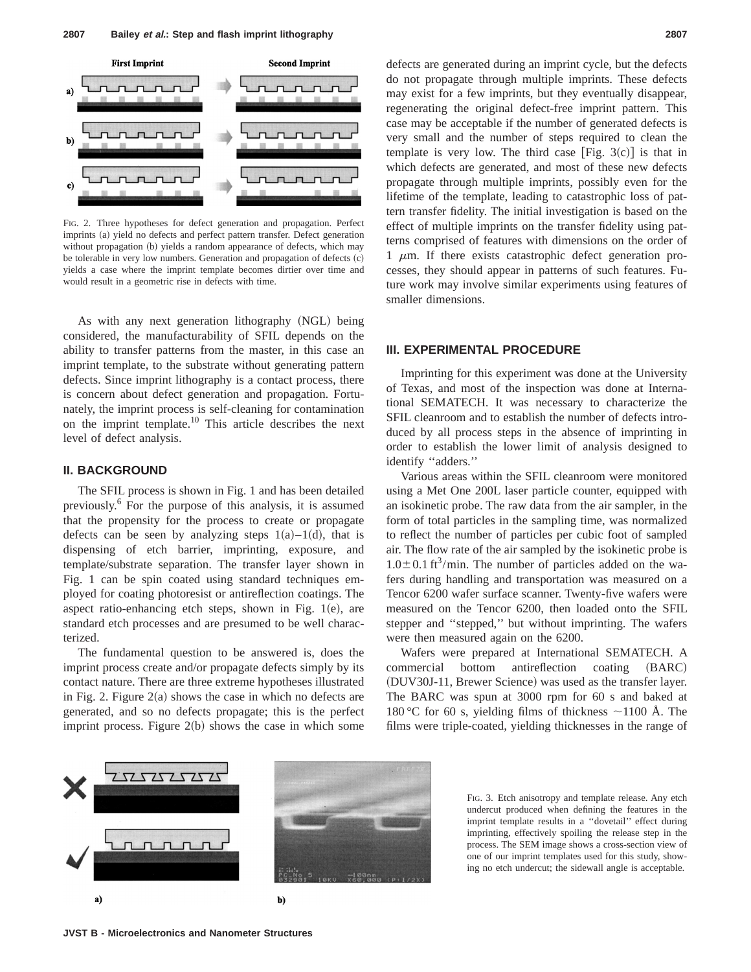

FIG. 2. Three hypotheses for defect generation and propagation. Perfect imprints (a) yield no defects and perfect pattern transfer. Defect generation without propagation (b) yields a random appearance of defects, which may be tolerable in very low numbers. Generation and propagation of defects  $(c)$ yields a case where the imprint template becomes dirtier over time and would result in a geometric rise in defects with time.

As with any next generation lithography (NGL) being considered, the manufacturability of SFIL depends on the ability to transfer patterns from the master, in this case an imprint template, to the substrate without generating pattern defects. Since imprint lithography is a contact process, there is concern about defect generation and propagation. Fortunately, the imprint process is self-cleaning for contamination on the imprint template.<sup>10</sup> This article describes the next level of defect analysis.

#### **II. BACKGROUND**

The SFIL process is shown in Fig. 1 and has been detailed previously.6 For the purpose of this analysis, it is assumed that the propensity for the process to create or propagate defects can be seen by analyzing steps  $1(a) - 1(d)$ , that is dispensing of etch barrier, imprinting, exposure, and template/substrate separation. The transfer layer shown in Fig. 1 can be spin coated using standard techniques employed for coating photoresist or antireflection coatings. The aspect ratio-enhancing etch steps, shown in Fig.  $1(e)$ , are standard etch processes and are presumed to be well characterized.

The fundamental question to be answered is, does the imprint process create and/or propagate defects simply by its contact nature. There are three extreme hypotheses illustrated in Fig. 2. Figure  $2(a)$  shows the case in which no defects are generated, and so no defects propagate; this is the perfect imprint process. Figure  $2(b)$  shows the case in which some defects are generated during an imprint cycle, but the defects do not propagate through multiple imprints. These defects may exist for a few imprints, but they eventually disappear, regenerating the original defect-free imprint pattern. This case may be acceptable if the number of generated defects is very small and the number of steps required to clean the template is very low. The third case  $[Fig. 3(c)]$  is that in which defects are generated, and most of these new defects propagate through multiple imprints, possibly even for the lifetime of the template, leading to catastrophic loss of pattern transfer fidelity. The initial investigation is based on the effect of multiple imprints on the transfer fidelity using patterns comprised of features with dimensions on the order of 1  $\mu$ m. If there exists catastrophic defect generation processes, they should appear in patterns of such features. Future work may involve similar experiments using features of smaller dimensions.

# **III. EXPERIMENTAL PROCEDURE**

Imprinting for this experiment was done at the University of Texas, and most of the inspection was done at International SEMATECH. It was necessary to characterize the SFIL cleanroom and to establish the number of defects introduced by all process steps in the absence of imprinting in order to establish the lower limit of analysis designed to identify ''adders.''

Various areas within the SFIL cleanroom were monitored using a Met One 200L laser particle counter, equipped with an isokinetic probe. The raw data from the air sampler, in the form of total particles in the sampling time, was normalized to reflect the number of particles per cubic foot of sampled air. The flow rate of the air sampled by the isokinetic probe is  $1.0\pm0.1$  ft<sup>3</sup>/min. The number of particles added on the wafers during handling and transportation was measured on a Tencor 6200 wafer surface scanner. Twenty-five wafers were measured on the Tencor 6200, then loaded onto the SFIL stepper and ''stepped,'' but without imprinting. The wafers were then measured again on the 6200.

Wafers were prepared at International SEMATECH. A commercial bottom antireflection coating (BARC) (DUV30J-11, Brewer Science) was used as the transfer layer. The BARC was spun at 3000 rpm for 60 s and baked at 180 °C for 60 s, yielding films of thickness  $\sim$ 1100 Å. The films were triple-coated, yielding thicknesses in the range of



FIG. 3. Etch anisotropy and template release. Any etch undercut produced when defining the features in the imprint template results in a ''dovetail'' effect during imprinting, effectively spoiling the release step in the process. The SEM image shows a cross-section view of one of our imprint templates used for this study, showing no etch undercut; the sidewall angle is acceptable.

**JVST B - Microelectronics and Nanometer Structures**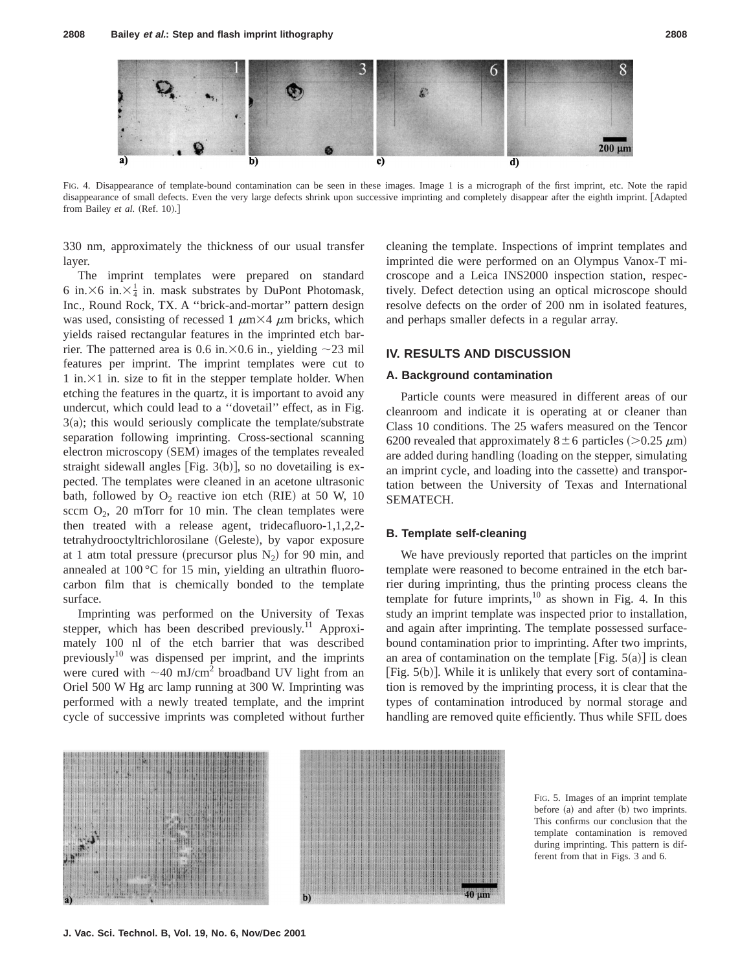

FIG. 4. Disappearance of template-bound contamination can be seen in these images. Image 1 is a micrograph of the first imprint, etc. Note the rapid disappearance of small defects. Even the very large defects shrink upon successive imprinting and completely disappear after the eighth imprint. [Adapted from Bailey et al. (Ref. 10).]

330 nm, approximately the thickness of our usual transfer layer.

The imprint templates were prepared on standard 6 in. $\times$ 6 in. $\times\frac{1}{4}$  in. mask substrates by DuPont Photomask, Inc., Round Rock, TX. A ''brick-and-mortar'' pattern design was used, consisting of recessed 1  $\mu$ m $\times$ 4  $\mu$ m bricks, which yields raised rectangular features in the imprinted etch barrier. The patterned area is 0.6 in. $\times$ 0.6 in., yielding  $\sim$ 23 mil features per imprint. The imprint templates were cut to 1 in. $\times$ 1 in. size to fit in the stepper template holder. When etching the features in the quartz, it is important to avoid any undercut, which could lead to a ''dovetail'' effect, as in Fig.  $3(a)$ ; this would seriously complicate the template/substrate separation following imprinting. Cross-sectional scanning electron microscopy (SEM) images of the templates revealed straight sidewall angles  $[Fig. 3(b)],$  so no dovetailing is expected. The templates were cleaned in an acetone ultrasonic bath, followed by  $O_2$  reactive ion etch (RIE) at 50 W, 10 sccm  $O_2$ , 20 mTorr for 10 min. The clean templates were then treated with a release agent, tridecafluoro-1,1,2,2 tetrahydrooctyltrichlorosilane (Geleste), by vapor exposure at 1 atm total pressure (precursor plus  $N_2$ ) for 90 min, and annealed at 100 °C for 15 min, yielding an ultrathin fluorocarbon film that is chemically bonded to the template surface.

Imprinting was performed on the University of Texas stepper, which has been described previously.<sup>11</sup> Approximately 100 nl of the etch barrier that was described previously<sup>10</sup> was dispensed per imprint, and the imprints were cured with  $\sim$ 40 mJ/cm<sup>2</sup> broadband UV light from an Oriel 500 W Hg arc lamp running at 300 W. Imprinting was performed with a newly treated template, and the imprint cycle of successive imprints was completed without further cleaning the template. Inspections of imprint templates and imprinted die were performed on an Olympus Vanox-T microscope and a Leica INS2000 inspection station, respectively. Defect detection using an optical microscope should resolve defects on the order of 200 nm in isolated features, and perhaps smaller defects in a regular array.

#### **IV. RESULTS AND DISCUSSION**

#### **A. Background contamination**

Particle counts were measured in different areas of our cleanroom and indicate it is operating at or cleaner than Class 10 conditions. The 25 wafers measured on the Tencor 6200 revealed that approximately  $8 \pm 6$  particles (>0.25  $\mu$ m) are added during handling (loading on the stepper, simulating an imprint cycle, and loading into the cassette) and transportation between the University of Texas and International SEMATECH.

#### **B. Template self-cleaning**

We have previously reported that particles on the imprint template were reasoned to become entrained in the etch barrier during imprinting, thus the printing process cleans the template for future imprints, $10$  as shown in Fig. 4. In this study an imprint template was inspected prior to installation, and again after imprinting. The template possessed surfacebound contamination prior to imprinting. After two imprints, an area of contamination on the template  $[Fig. 5(a)]$  is clean [Fig.  $5(b)$ ]. While it is unlikely that every sort of contamination is removed by the imprinting process, it is clear that the types of contamination introduced by normal storage and handling are removed quite efficiently. Thus while SFIL does



FIG. 5. Images of an imprint template before (a) and after (b) two imprints. This confirms our conclusion that the template contamination is removed during imprinting. This pattern is different from that in Figs. 3 and 6.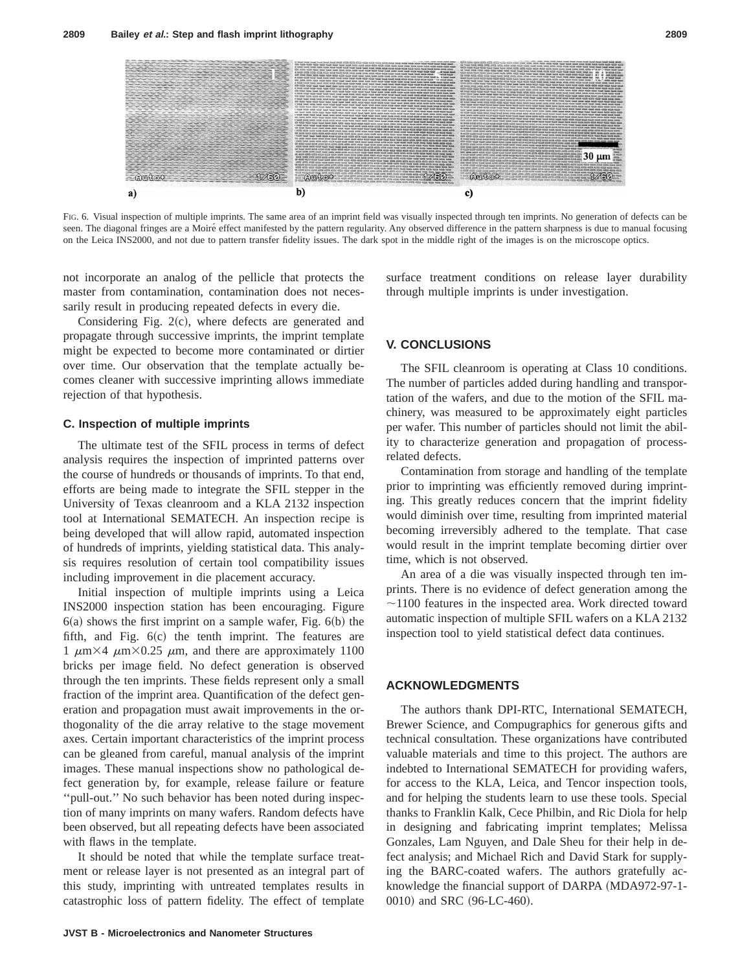

FIG. 6. Visual inspection of multiple imprints. The same area of an imprint field was visually inspected through ten imprints. No generation of defects can be seen. The diagonal fringes are a Moiré effect manifested by the pattern regularity. Any observed difference in the pattern sharpness is due to manual focusing on the Leica INS2000, and not due to pattern transfer fidelity issues. The dark spot in the middle right of the images is on the microscope optics.

not incorporate an analog of the pellicle that protects the master from contamination, contamination does not necessarily result in producing repeated defects in every die.

Considering Fig.  $2(c)$ , where defects are generated and propagate through successive imprints, the imprint template might be expected to become more contaminated or dirtier over time. Our observation that the template actually becomes cleaner with successive imprinting allows immediate rejection of that hypothesis.

#### **C. Inspection of multiple imprints**

The ultimate test of the SFIL process in terms of defect analysis requires the inspection of imprinted patterns over the course of hundreds or thousands of imprints. To that end, efforts are being made to integrate the SFIL stepper in the University of Texas cleanroom and a KLA 2132 inspection tool at International SEMATECH. An inspection recipe is being developed that will allow rapid, automated inspection of hundreds of imprints, yielding statistical data. This analysis requires resolution of certain tool compatibility issues including improvement in die placement accuracy.

Initial inspection of multiple imprints using a Leica INS2000 inspection station has been encouraging. Figure  $6(a)$  shows the first imprint on a sample wafer, Fig.  $6(b)$  the fifth, and Fig.  $6(c)$  the tenth imprint. The features are 1  $\mu$ m×4  $\mu$ m×0.25  $\mu$ m, and there are approximately 1100 bricks per image field. No defect generation is observed through the ten imprints. These fields represent only a small fraction of the imprint area. Quantification of the defect generation and propagation must await improvements in the orthogonality of the die array relative to the stage movement axes. Certain important characteristics of the imprint process can be gleaned from careful, manual analysis of the imprint images. These manual inspections show no pathological defect generation by, for example, release failure or feature ''pull-out.'' No such behavior has been noted during inspection of many imprints on many wafers. Random defects have been observed, but all repeating defects have been associated with flaws in the template.

It should be noted that while the template surface treatment or release layer is not presented as an integral part of this study, imprinting with untreated templates results in catastrophic loss of pattern fidelity. The effect of template surface treatment conditions on release layer durability through multiple imprints is under investigation.

## **V. CONCLUSIONS**

The SFIL cleanroom is operating at Class 10 conditions. The number of particles added during handling and transportation of the wafers, and due to the motion of the SFIL machinery, was measured to be approximately eight particles per wafer. This number of particles should not limit the ability to characterize generation and propagation of processrelated defects.

Contamination from storage and handling of the template prior to imprinting was efficiently removed during imprinting. This greatly reduces concern that the imprint fidelity would diminish over time, resulting from imprinted material becoming irreversibly adhered to the template. That case would result in the imprint template becoming dirtier over time, which is not observed.

An area of a die was visually inspected through ten imprints. There is no evidence of defect generation among the  $\sim$ 1100 features in the inspected area. Work directed toward automatic inspection of multiple SFIL wafers on a KLA 2132 inspection tool to yield statistical defect data continues.

#### **ACKNOWLEDGMENTS**

The authors thank DPI-RTC, International SEMATECH, Brewer Science, and Compugraphics for generous gifts and technical consultation. These organizations have contributed valuable materials and time to this project. The authors are indebted to International SEMATECH for providing wafers, for access to the KLA, Leica, and Tencor inspection tools, and for helping the students learn to use these tools. Special thanks to Franklin Kalk, Cece Philbin, and Ric Diola for help in designing and fabricating imprint templates; Melissa Gonzales, Lam Nguyen, and Dale Sheu for their help in defect analysis; and Michael Rich and David Stark for supplying the BARC-coated wafers. The authors gratefully acknowledge the financial support of DARPA  $(MDA972-97-1 0010$  and SRC  $(96$ -LC-460).